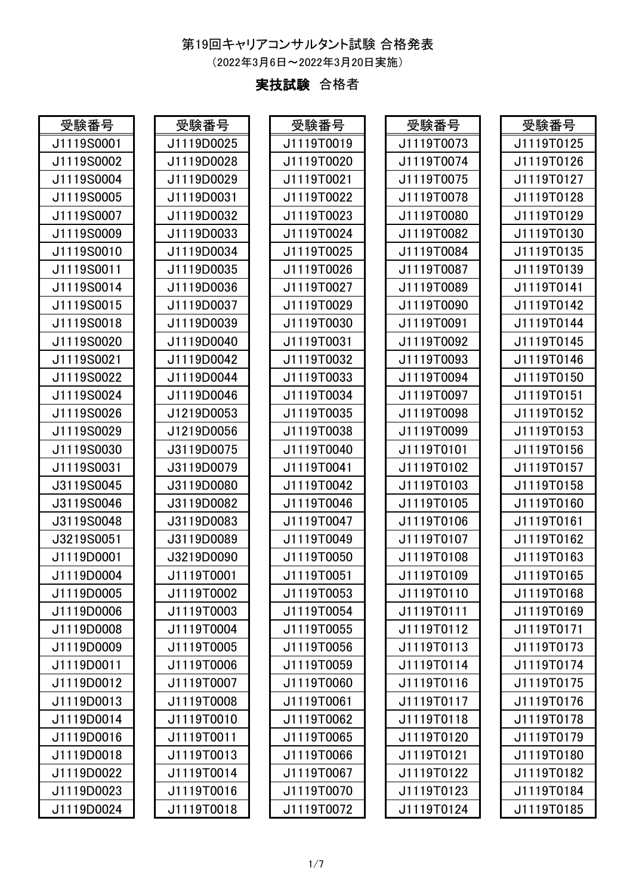## 第19回キャリアコンサルタント試験 合格発表

(2022年3月6日~2022年3月20日実施)

## 実技試験 合格者

| 受験番号       | 受験番号       | 受験番号       | 受験番号       | 受験番号       |
|------------|------------|------------|------------|------------|
| J1119S0001 | J1119D0025 | J1119T0019 | J1119T0073 | J1119T0125 |
| J1119S0002 | J1119D0028 | J1119T0020 | J1119T0074 | J1119T0126 |
| J1119S0004 | J1119D0029 | J1119T0021 | J1119T0075 | J1119T0127 |
| J1119S0005 | J1119D0031 | J1119T0022 | J1119T0078 | J1119T0128 |
| J1119S0007 | J1119D0032 | J1119T0023 | J1119T0080 | J1119T0129 |
| J1119S0009 | J1119D0033 | J1119T0024 | J1119T0082 | J1119T0130 |
| J1119S0010 | J1119D0034 | J1119T0025 | J1119T0084 | J1119T0135 |
| J1119S0011 | J1119D0035 | J1119T0026 | J1119T0087 | J1119T0139 |
| J1119S0014 | J1119D0036 | J1119T0027 | J1119T0089 | J1119T0141 |
| J1119S0015 | J1119D0037 | J1119T0029 | J1119T0090 | J1119T0142 |
| J1119S0018 | J1119D0039 | J1119T0030 | J1119T0091 | J1119T0144 |
| J1119S0020 | J1119D0040 | J1119T0031 | J1119T0092 | J1119T0145 |
| J1119S0021 | J1119D0042 | J1119T0032 | J1119T0093 | J1119T0146 |
| J1119S0022 | J1119D0044 | J1119T0033 | J1119T0094 | J1119T0150 |
| J1119S0024 | J1119D0046 | J1119T0034 | J1119T0097 | J1119T0151 |
| J1119S0026 | J1219D0053 | J1119T0035 | J1119T0098 | J1119T0152 |
| J1119S0029 | J1219D0056 | J1119T0038 | J1119T0099 | J1119T0153 |
| J1119S0030 | J3119D0075 | J1119T0040 | J1119T0101 | J1119T0156 |
| J1119S0031 | J3119D0079 | J1119T0041 | J1119T0102 | J1119T0157 |
| J3119S0045 | J3119D0080 | J1119T0042 | J1119T0103 | J1119T0158 |
| J3119S0046 | J3119D0082 | J1119T0046 | J1119T0105 | J1119T0160 |
| J3119S0048 | J3119D0083 | J1119T0047 | J1119T0106 | J1119T0161 |
| J3219S0051 | J3119D0089 | J1119T0049 | J1119T0107 | J1119T0162 |
| J1119D0001 | J3219D0090 | J1119T0050 | J1119T0108 | J1119T0163 |
| J1119D0004 | J1119T0001 | J1119T0051 | J1119T0109 | J1119T0165 |
| J1119D0005 | J1119T0002 | J1119T0053 | J1119T0110 | J1119T0168 |
| J1119D0006 | J1119T0003 | J1119T0054 | J1119T0111 | J1119T0169 |
| J1119D0008 | J1119T0004 | J1119T0055 | J1119T0112 | J1119T0171 |
| J1119D0009 | J1119T0005 | J1119T0056 | J1119T0113 | J1119T0173 |
| J1119D0011 | J1119T0006 | J1119T0059 | J1119T0114 | J1119T0174 |
| J1119D0012 | J1119T0007 | J1119T0060 | J1119T0116 | J1119T0175 |
| J1119D0013 | J1119T0008 | J1119T0061 | J1119T0117 | J1119T0176 |
| J1119D0014 | J1119T0010 | J1119T0062 | J1119T0118 | J1119T0178 |
| J1119D0016 | J1119T0011 | J1119T0065 | J1119T0120 | J1119T0179 |
| J1119D0018 | J1119T0013 | J1119T0066 | J1119T0121 | J1119T0180 |
| J1119D0022 | J1119T0014 | J1119T0067 | J1119T0122 | J1119T0182 |
| J1119D0023 | J1119T0016 | J1119T0070 | J1119T0123 | J1119T0184 |
| J1119D0024 | J1119T0018 | J1119T0072 | J1119T0124 | J1119T0185 |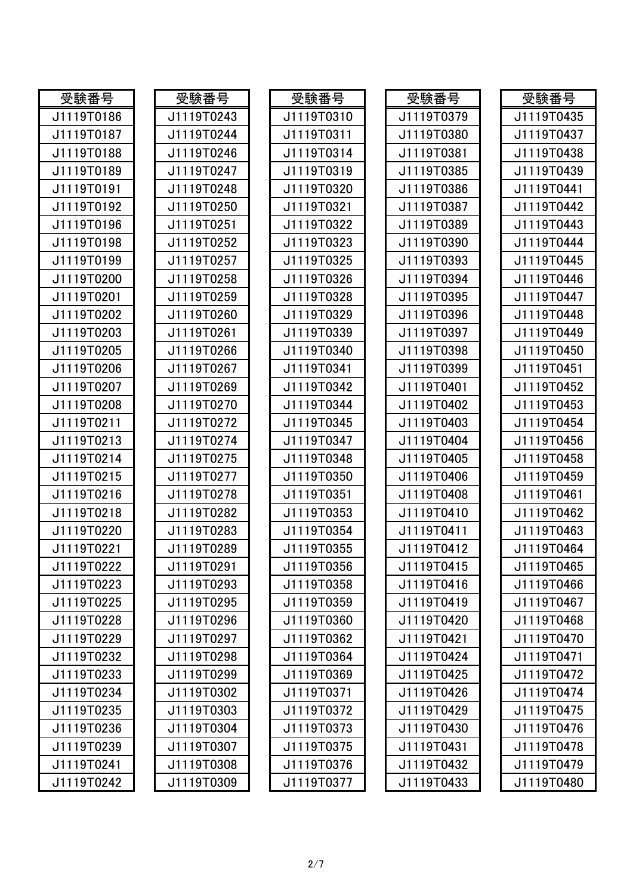| 受験番号       | 受験番号       | 受験番号       | 受験番号       | 受験番号       |
|------------|------------|------------|------------|------------|
| J1119T0186 | J1119T0243 | J1119T0310 | J1119T0379 | J1119T0435 |
| J1119T0187 | J1119T0244 | J1119T0311 | J1119T0380 | J1119T0437 |
| J1119T0188 | J1119T0246 | J1119T0314 | J1119T0381 | J1119T0438 |
| J1119T0189 | J1119T0247 | J1119T0319 | J1119T0385 | J1119T0439 |
| J1119T0191 | J1119T0248 | J1119T0320 | J1119T0386 | J1119T0441 |
| J1119T0192 | J1119T0250 | J1119T0321 | J1119T0387 | J1119T0442 |
| J1119T0196 | J1119T0251 | J1119T0322 | J1119T0389 | J1119T0443 |
| J1119T0198 | J1119T0252 | J1119T0323 | J1119T0390 | J1119T0444 |
| J1119T0199 | J1119T0257 | J1119T0325 | J1119T0393 | J1119T0445 |
| J1119T0200 | J1119T0258 | J1119T0326 | J1119T0394 | J1119T0446 |
| J1119T0201 | J1119T0259 | J1119T0328 | J1119T0395 | J1119T0447 |
| J1119T0202 | J1119T0260 | J1119T0329 | J1119T0396 | J1119T0448 |
| J1119T0203 | J1119T0261 | J1119T0339 | J1119T0397 | J1119T0449 |
| J1119T0205 | J1119T0266 | J1119T0340 | J1119T0398 | J1119T0450 |
| J1119T0206 | J1119T0267 | J1119T0341 | J1119T0399 | J1119T0451 |
| J1119T0207 | J1119T0269 | J1119T0342 | J1119T0401 | J1119T0452 |
| J1119T0208 | J1119T0270 | J1119T0344 | J1119T0402 | J1119T0453 |
| J1119T0211 | J1119T0272 | J1119T0345 | J1119T0403 | J1119T0454 |
| J1119T0213 | J1119T0274 | J1119T0347 | J1119T0404 | J1119T0456 |
| J1119T0214 | J1119T0275 | J1119T0348 | J1119T0405 | J1119T0458 |
| J1119T0215 | J1119T0277 | J1119T0350 | J1119T0406 | J1119T0459 |
| J1119T0216 | J1119T0278 | J1119T0351 | J1119T0408 | J1119T0461 |
| J1119T0218 | J1119T0282 | J1119T0353 | J1119T0410 | J1119T0462 |
| J1119T0220 | J1119T0283 | J1119T0354 | J1119T0411 | J1119T0463 |
| J1119T0221 | J1119T0289 | J1119T0355 | J1119T0412 | J1119T0464 |
| J1119T0222 | J1119T0291 | J1119T0356 | J1119T0415 | J1119T0465 |
| J1119T0223 | J1119T0293 | J1119T0358 | J1119T0416 | J1119T0466 |
| J1119T0225 | J1119T0295 | J1119T0359 | J1119T0419 | J1119T0467 |
| J1119T0228 | J1119T0296 | J1119T0360 | J1119T0420 | J1119T0468 |
| J1119T0229 | J1119T0297 | J1119T0362 | J1119T0421 | J1119T0470 |
| J1119T0232 | J1119T0298 | J1119T0364 | J1119T0424 | J1119T0471 |
| J1119T0233 | J1119T0299 | J1119T0369 | J1119T0425 | J1119T0472 |
| J1119T0234 | J1119T0302 | J1119T0371 | J1119T0426 | J1119T0474 |
| J1119T0235 | J1119T0303 | J1119T0372 | J1119T0429 | J1119T0475 |
| J1119T0236 | J1119T0304 | J1119T0373 | J1119T0430 | J1119T0476 |
| J1119T0239 | J1119T0307 | J1119T0375 | J1119T0431 | J1119T0478 |
| J1119T0241 | J1119T0308 | J1119T0376 | J1119T0432 | J1119T0479 |
| J1119T0242 | J1119T0309 | J1119T0377 | J1119T0433 | J1119T0480 |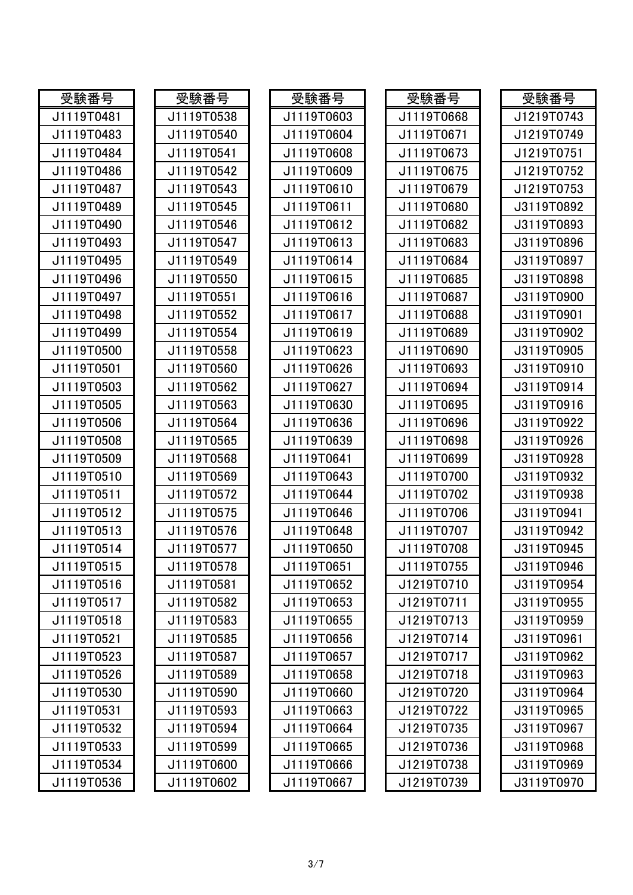| 受験番号       | 受験番号       | 受験番号       | 受験番号       | 受験番号       |
|------------|------------|------------|------------|------------|
| J1119T0481 | J1119T0538 | J1119T0603 | J1119T0668 | J1219T0743 |
| J1119T0483 | J1119T0540 | J1119T0604 | J1119T0671 | J1219T0749 |
| J1119T0484 | J1119T0541 | J1119T0608 | J1119T0673 | J1219T0751 |
| J1119T0486 | J1119T0542 | J1119T0609 | J1119T0675 | J1219T0752 |
| J1119T0487 | J1119T0543 | J1119T0610 | J1119T0679 | J1219T0753 |
| J1119T0489 | J1119T0545 | J1119T0611 | J1119T0680 | J3119T0892 |
| J1119T0490 | J1119T0546 | J1119T0612 | J1119T0682 | J3119T0893 |
| J1119T0493 | J1119T0547 | J1119T0613 | J1119T0683 | J3119T0896 |
| J1119T0495 | J1119T0549 | J1119T0614 | J1119T0684 | J3119T0897 |
| J1119T0496 | J1119T0550 | J1119T0615 | J1119T0685 | J3119T0898 |
| J1119T0497 | J1119T0551 | J1119T0616 | J1119T0687 | J3119T0900 |
| J1119T0498 | J1119T0552 | J1119T0617 | J1119T0688 | J3119T0901 |
| J1119T0499 | J1119T0554 | J1119T0619 | J1119T0689 | J3119T0902 |
| J1119T0500 | J1119T0558 | J1119T0623 | J1119T0690 | J3119T0905 |
| J1119T0501 | J1119T0560 | J1119T0626 | J1119T0693 | J3119T0910 |
| J1119T0503 | J1119T0562 | J1119T0627 | J1119T0694 | J3119T0914 |
| J1119T0505 | J1119T0563 | J1119T0630 | J1119T0695 | J3119T0916 |
| J1119T0506 | J1119T0564 | J1119T0636 | J1119T0696 | J3119T0922 |
| J1119T0508 | J1119T0565 | J1119T0639 | J1119T0698 | J3119T0926 |
| J1119T0509 | J1119T0568 | J1119T0641 | J1119T0699 | J3119T0928 |
| J1119T0510 | J1119T0569 | J1119T0643 | J1119T0700 | J3119T0932 |
| J1119T0511 | J1119T0572 | J1119T0644 | J1119T0702 | J3119T0938 |
| J1119T0512 | J1119T0575 | J1119T0646 | J1119T0706 | J3119T0941 |
| J1119T0513 | J1119T0576 | J1119T0648 | J1119T0707 | J3119T0942 |
| J1119T0514 | J1119T0577 | J1119T0650 | J1119T0708 | J3119T0945 |
| J1119T0515 | J1119T0578 | J1119T0651 | J1119T0755 | J3119T0946 |
| J1119T0516 | J1119T0581 | J1119T0652 | J1219T0710 | J3119T0954 |
| J1119T0517 | J1119T0582 | J1119T0653 | J1219T0711 | J3119T0955 |
| J1119T0518 | J1119T0583 | J1119T0655 | J1219T0713 | J3119T0959 |
| J1119T0521 | J1119T0585 | J1119T0656 | J1219T0714 | J3119T0961 |
| J1119T0523 | J1119T0587 | J1119T0657 | J1219T0717 | J3119T0962 |
| J1119T0526 | J1119T0589 | J1119T0658 | J1219T0718 | J3119T0963 |
| J1119T0530 | J1119T0590 | J1119T0660 | J1219T0720 | J3119T0964 |
| J1119T0531 | J1119T0593 | J1119T0663 | J1219T0722 | J3119T0965 |
| J1119T0532 | J1119T0594 | J1119T0664 | J1219T0735 | J3119T0967 |
| J1119T0533 | J1119T0599 | J1119T0665 | J1219T0736 | J3119T0968 |
| J1119T0534 | J1119T0600 | J1119T0666 | J1219T0738 | J3119T0969 |
| J1119T0536 | J1119T0602 | J1119T0667 | J1219T0739 | J3119T0970 |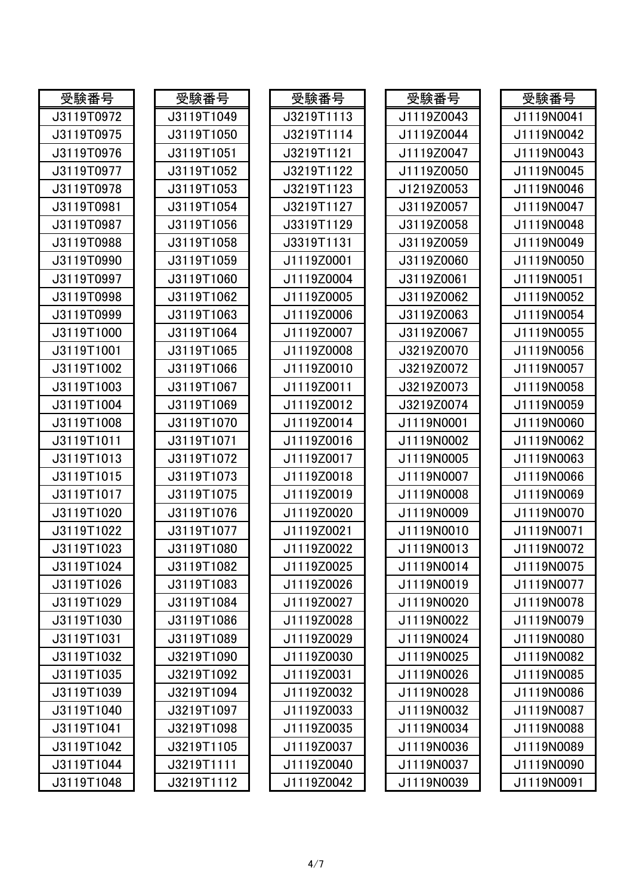| 受験番号       | 受験番号       | 受験番号       | 受験番号       | 受験番号       |
|------------|------------|------------|------------|------------|
| J3119T0972 | J3119T1049 | J3219T1113 | J1119Z0043 | J1119N0041 |
| J3119T0975 | J3119T1050 | J3219T1114 | J1119Z0044 | J1119N0042 |
| J3119T0976 | J3119T1051 | J3219T1121 | J1119Z0047 | J1119N0043 |
| J3119T0977 | J3119T1052 | J3219T1122 | J1119Z0050 | J1119N0045 |
| J3119T0978 | J3119T1053 | J3219T1123 | J1219Z0053 | J1119N0046 |
| J3119T0981 | J3119T1054 | J3219T1127 | J3119Z0057 | J1119N0047 |
| J3119T0987 | J3119T1056 | J3319T1129 | J3119Z0058 | J1119N0048 |
| J3119T0988 | J3119T1058 | J3319T1131 | J3119Z0059 | J1119N0049 |
| J3119T0990 | J3119T1059 | J1119Z0001 | J3119Z0060 | J1119N0050 |
| J3119T0997 | J3119T1060 | J1119Z0004 | J3119Z0061 | J1119N0051 |
| J3119T0998 | J3119T1062 | J1119Z0005 | J3119Z0062 | J1119N0052 |
| J3119T0999 | J3119T1063 | J1119Z0006 | J3119Z0063 | J1119N0054 |
| J3119T1000 | J3119T1064 | J1119Z0007 | J3119Z0067 | J1119N0055 |
| J3119T1001 | J3119T1065 | J1119Z0008 | J3219Z0070 | J1119N0056 |
| J3119T1002 | J3119T1066 | J1119Z0010 | J3219Z0072 | J1119N0057 |
| J3119T1003 | J3119T1067 | J1119Z0011 | J3219Z0073 | J1119N0058 |
| J3119T1004 | J3119T1069 | J1119Z0012 | J3219Z0074 | J1119N0059 |
| J3119T1008 | J3119T1070 | J1119Z0014 | J1119N0001 | J1119N0060 |
| J3119T1011 | J3119T1071 | J1119Z0016 | J1119N0002 | J1119N0062 |
| J3119T1013 | J3119T1072 | J1119Z0017 | J1119N0005 | J1119N0063 |
| J3119T1015 | J3119T1073 | J1119Z0018 | J1119N0007 | J1119N0066 |
| J3119T1017 | J3119T1075 | J1119Z0019 | J1119N0008 | J1119N0069 |
| J3119T1020 | J3119T1076 | J1119Z0020 | J1119N0009 | J1119N0070 |
| J3119T1022 | J3119T1077 | J1119Z0021 | J1119N0010 | J1119N0071 |
| J3119T1023 | J3119T1080 | J1119Z0022 | J1119N0013 | J1119N0072 |
| J3119T1024 | J3119T1082 | J1119Z0025 | J1119N0014 | J1119N0075 |
| J3119T1026 | J3119T1083 | J1119Z0026 | J1119N0019 | J1119N0077 |
| J3119T1029 | J3119T1084 | J1119Z0027 | J1119N0020 | J1119N0078 |
| J3119T1030 | J3119T1086 | J1119Z0028 | J1119N0022 | J1119N0079 |
| J3119T1031 | J3119T1089 | J1119Z0029 | J1119N0024 | J1119N0080 |
| J3119T1032 | J3219T1090 | J1119Z0030 | J1119N0025 | J1119N0082 |
| J3119T1035 | J3219T1092 | J1119Z0031 | J1119N0026 | J1119N0085 |
| J3119T1039 | J3219T1094 | J1119Z0032 | J1119N0028 | J1119N0086 |
| J3119T1040 | J3219T1097 | J1119Z0033 | J1119N0032 | J1119N0087 |
| J3119T1041 | J3219T1098 | J1119Z0035 | J1119N0034 | J1119N0088 |
| J3119T1042 | J3219T1105 | J1119Z0037 | J1119N0036 | J1119N0089 |
| J3119T1044 | J3219T1111 | J1119Z0040 | J1119N0037 | J1119N0090 |
| J3119T1048 | J3219T1112 | J1119Z0042 | J1119N0039 | J1119N0091 |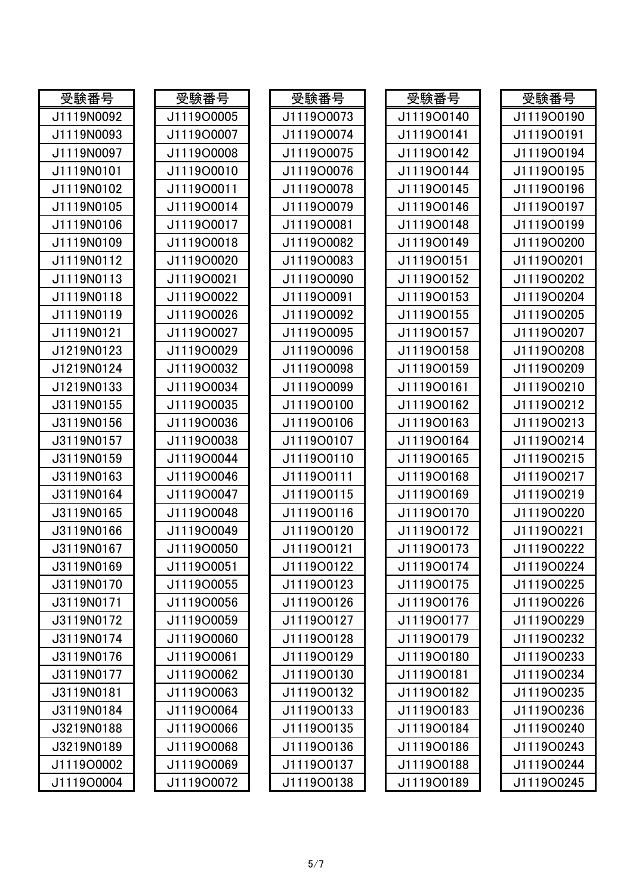| 受験番号       | 受験番号       | 受験番号       | 受験番号       | 受験番号       |
|------------|------------|------------|------------|------------|
| J1119N0092 | J1119O0005 | J1119O0073 | J1119O0140 | J1119O0190 |
| J1119N0093 | J1119O0007 | J1119O0074 | J1119O0141 | J1119O0191 |
| J1119N0097 | J1119O0008 | J1119O0075 | J1119O0142 | J1119O0194 |
| J1119N0101 | J1119O0010 | J1119O0076 | J1119O0144 | J1119O0195 |
| J1119N0102 | J1119O0011 | J1119O0078 | J1119O0145 | J1119O0196 |
| J1119N0105 | J1119O0014 | J1119O0079 | J1119O0146 | J1119O0197 |
| J1119N0106 | J1119O0017 | J1119O0081 | J1119O0148 | J1119O0199 |
| J1119N0109 | J1119O0018 | J1119O0082 | J1119O0149 | J1119O0200 |
| J1119N0112 | J1119O0020 | J1119O0083 | J1119O0151 | J1119O0201 |
| J1119N0113 | J1119O0021 | J1119O0090 | J1119O0152 | J1119O0202 |
| J1119N0118 | J1119O0022 | J1119O0091 | J1119O0153 | J1119O0204 |
| J1119N0119 | J1119O0026 | J1119O0092 | J1119O0155 | J1119O0205 |
| J1119N0121 | J1119O0027 | J1119O0095 | J1119O0157 | J1119O0207 |
| J1219N0123 | J1119O0029 | J1119O0096 | J1119O0158 | J1119O0208 |
| J1219N0124 | J1119O0032 | J1119O0098 | J1119O0159 | J1119O0209 |
| J1219N0133 | J1119O0034 | J1119O0099 | J111900161 | J1119O0210 |
| J3119N0155 | J1119O0035 | J1119O0100 | J1119O0162 | J1119O0212 |
| J3119N0156 | J1119O0036 | J1119O0106 | J1119O0163 | J1119O0213 |
| J3119N0157 | J1119O0038 | J1119O0107 | J1119O0164 | J1119O0214 |
| J3119N0159 | J1119O0044 | J1119O0110 | J1119O0165 | J1119O0215 |
| J3119N0163 | J1119O0046 | J111900111 | J1119O0168 | J1119O0217 |
| J3119N0164 | J1119O0047 | J1119O0115 | J1119O0169 | J1119O0219 |
| J3119N0165 | J1119O0048 | J1119O0116 | J1119O0170 | J1119O0220 |
| J3119N0166 | J1119O0049 | J1119O0120 | J1119O0172 | J1119O0221 |
| J3119N0167 | J1119O0050 | J1119O0121 | J1119O0173 | J1119O0222 |
| J3119N0169 | J1119O0051 | J1119O0122 | J1119O0174 | J1119O0224 |
| J3119N0170 | J1119O0055 | J1119O0123 | J1119O0175 | J1119O0225 |
| J3119N0171 | J1119O0056 | J1119O0126 | J1119O0176 | J1119O0226 |
| J3119N0172 | J1119O0059 | J1119O0127 | J1119O0177 | J1119O0229 |
| J3119N0174 | J1119O0060 | J1119O0128 | J1119O0179 | J1119O0232 |
| J3119N0176 | J1119O0061 | J1119O0129 | J1119O0180 | J1119O0233 |
| J3119N0177 | J1119O0062 | J1119O0130 | J111900181 | J1119O0234 |
| J3119N0181 | J1119O0063 | J1119O0132 | J1119O0182 | J1119O0235 |
| J3119N0184 | J1119O0064 | J1119O0133 | J1119O0183 | J1119O0236 |
| J3219N0188 | J1119O0066 | J1119O0135 | J1119O0184 | J1119O0240 |
| J3219N0189 | J1119O0068 | J1119O0136 | J1119O0186 | J1119O0243 |
| J1119O0002 | J1119O0069 | J1119O0137 | J1119O0188 | J1119O0244 |
| J1119O0004 | J1119O0072 | J1119O0138 | J1119O0189 | J1119O0245 |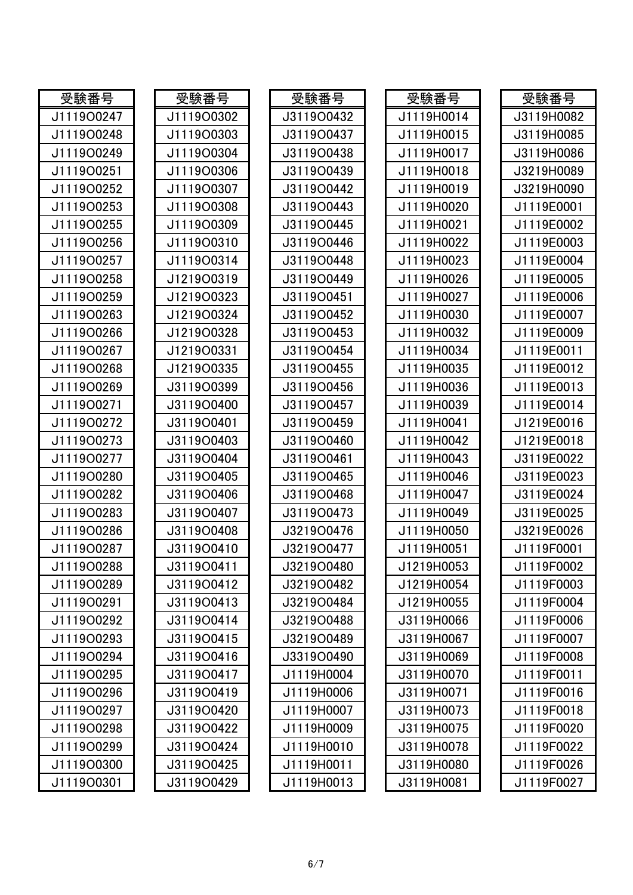| 受験番号       | 受験番号       | 受験番号       | 受験番号       | 受験番号       |
|------------|------------|------------|------------|------------|
| J1119O0247 | J1119O0302 | J3119O0432 | J1119H0014 | J3119H0082 |
| J1119O0248 | J1119O0303 | J3119O0437 | J1119H0015 | J3119H0085 |
| J1119O0249 | J1119O0304 | J3119O0438 | J1119H0017 | J3119H0086 |
| J1119O0251 | J1119O0306 | J3119O0439 | J1119H0018 | J3219H0089 |
| J1119O0252 | J1119O0307 | J3119O0442 | J1119H0019 | J3219H0090 |
| J1119O0253 | J1119O0308 | J3119O0443 | J1119H0020 | J1119E0001 |
| J1119O0255 | J1119O0309 | J3119O0445 | J1119H0021 | J1119E0002 |
| J1119O0256 | J1119O0310 | J3119O0446 | J1119H0022 | J1119E0003 |
| J1119O0257 | J1119O0314 | J3119O0448 | J1119H0023 | J1119E0004 |
| J1119O0258 | J1219O0319 | J3119O0449 | J1119H0026 | J1119E0005 |
| J1119O0259 | J1219O0323 | J3119O0451 | J1119H0027 | J1119E0006 |
| J1119O0263 | J1219O0324 | J3119O0452 | J1119H0030 | J1119E0007 |
| J1119O0266 | J1219O0328 | J3119O0453 | J1119H0032 | J1119E0009 |
| J1119O0267 | J1219O0331 | J3119O0454 | J1119H0034 | J1119E0011 |
| J1119O0268 | J1219O0335 | J3119O0455 | J1119H0035 | J1119E0012 |
| J1119O0269 | J3119O0399 | J3119O0456 | J1119H0036 | J1119E0013 |
| J1119O0271 | J3119O0400 | J3119O0457 | J1119H0039 | J1119E0014 |
| J1119O0272 | J3119O0401 | J3119O0459 | J1119H0041 | J1219E0016 |
| J1119O0273 | J3119O0403 | J3119O0460 | J1119H0042 | J1219E0018 |
| J1119O0277 | J3119O0404 | J3119O0461 | J1119H0043 | J3119E0022 |
| J1119O0280 | J3119O0405 | J3119O0465 | J1119H0046 | J3119E0023 |
| J1119O0282 | J3119O0406 | J3119O0468 | J1119H0047 | J3119E0024 |
| J1119O0283 | J3119O0407 | J3119O0473 | J1119H0049 | J3119E0025 |
| J1119O0286 | J3119O0408 | J3219O0476 | J1119H0050 | J3219E0026 |
| J1119O0287 | J3119O0410 | J3219O0477 | J1119H0051 | J1119F0001 |
| J1119O0288 | J3119O0411 | J3219O0480 | J1219H0053 | J1119F0002 |
| J1119O0289 | J3119O0412 | J3219O0482 | J1219H0054 | J1119F0003 |
| J1119O0291 | J3119O0413 | J3219O0484 | J1219H0055 | J1119F0004 |
| J1119O0292 | J3119O0414 | J3219O0488 | J3119H0066 | J1119F0006 |
| J1119O0293 | J3119O0415 | J3219O0489 | J3119H0067 | J1119F0007 |
| J1119O0294 | J3119O0416 | J3319O0490 | J3119H0069 | J1119F0008 |
| J1119O0295 | J3119O0417 | J1119H0004 | J3119H0070 | J1119F0011 |
| J1119O0296 | J3119O0419 | J1119H0006 | J3119H0071 | J1119F0016 |
| J1119O0297 | J3119O0420 | J1119H0007 | J3119H0073 | J1119F0018 |
| J1119O0298 | J3119O0422 | J1119H0009 | J3119H0075 | J1119F0020 |
| J1119O0299 | J3119O0424 | J1119H0010 | J3119H0078 | J1119F0022 |
| J1119O0300 | J3119O0425 | J1119H0011 | J3119H0080 | J1119F0026 |
| J1119O0301 | J3119O0429 | J1119H0013 | J3119H0081 | J1119F0027 |